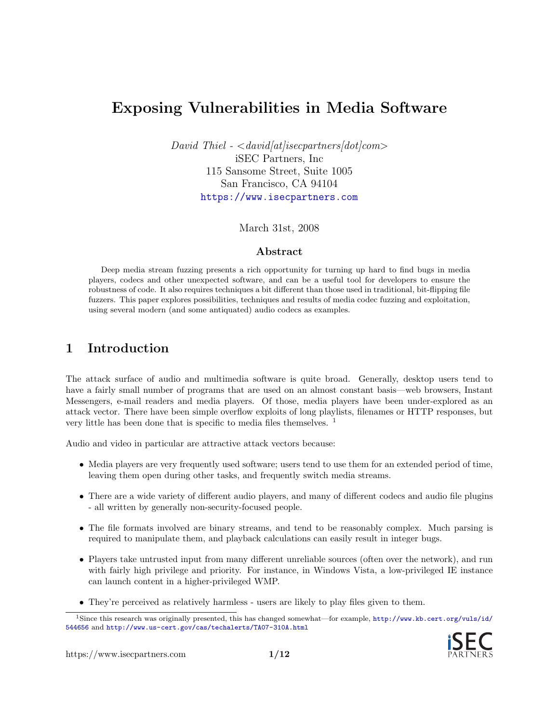# Exposing Vulnerabilities in Media Software

David Thiel -  $\langle david/at|isecentners/dot|com\rangle$ iSEC Partners, Inc 115 Sansome Street, Suite 1005 San Francisco, CA 94104 <https://www.isecpartners.com>

March 31st, 2008

#### Abstract

Deep media stream fuzzing presents a rich opportunity for turning up hard to find bugs in media players, codecs and other unexpected software, and can be a useful tool for developers to ensure the robustness of code. It also requires techniques a bit different than those used in traditional, bit-flipping file fuzzers. This paper explores possibilities, techniques and results of media codec fuzzing and exploitation, using several modern (and some antiquated) audio codecs as examples.

## 1 Introduction

The attack surface of audio and multimedia software is quite broad. Generally, desktop users tend to have a fairly small number of programs that are used on an almost constant basis—web browsers, Instant Messengers, e-mail readers and media players. Of those, media players have been under-explored as an attack vector. There have been simple overflow exploits of long playlists, filenames or HTTP responses, but very little has been done that is specific to media files themselves. [1](#page-0-0)

Audio and video in particular are attractive attack vectors because:

- Media players are very frequently used software; users tend to use them for an extended period of time, leaving them open during other tasks, and frequently switch media streams.
- There are a wide variety of different audio players, and many of different codecs and audio file plugins - all written by generally non-security-focused people.
- The file formats involved are binary streams, and tend to be reasonably complex. Much parsing is required to manipulate them, and playback calculations can easily result in integer bugs.
- Players take untrusted input from many different unreliable sources (often over the network), and run with fairly high privilege and priority. For instance, in Windows Vista, a low-privileged IE instance can launch content in a higher-privileged WMP.
- <span id="page-0-0"></span>• They're perceived as relatively harmless - users are likely to play files given to them.

<sup>1</sup>Since this research was originally presented, this has changed somewhat—for example, [http://www.kb.cert.org/vuls/id/](http://www.kb.cert.org/vuls/id/544656) [544656](http://www.kb.cert.org/vuls/id/544656) and <http://www.us-cert.gov/cas/techalerts/TA07-310A.html>

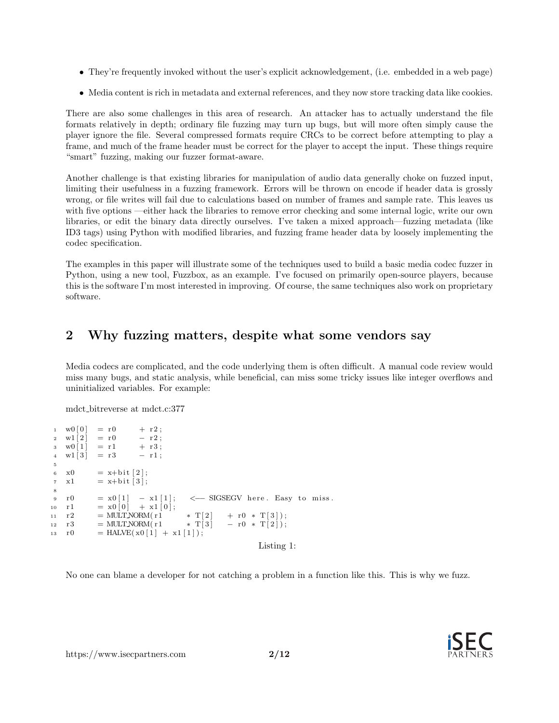- They're frequently invoked without the user's explicit acknowledgement, (i.e. embedded in a web page)
- Media content is rich in metadata and external references, and they now store tracking data like cookies.

There are also some challenges in this area of research. An attacker has to actually understand the file formats relatively in depth; ordinary file fuzzing may turn up bugs, but will more often simply cause the player ignore the file. Several compressed formats require CRCs to be correct before attempting to play a frame, and much of the frame header must be correct for the player to accept the input. These things require "smart" fuzzing, making our fuzzer format-aware.

Another challenge is that existing libraries for manipulation of audio data generally choke on fuzzed input, limiting their usefulness in a fuzzing framework. Errors will be thrown on encode if header data is grossly wrong, or file writes will fail due to calculations based on number of frames and sample rate. This leaves us with five options —either hack the libraries to remove error checking and some internal logic, write our own libraries, or edit the binary data directly ourselves. I've taken a mixed approach—fuzzing metadata (like ID3 tags) using Python with modified libraries, and fuzzing frame header data by loosely implementing the codec specification.

The examples in this paper will illustrate some of the techniques used to build a basic media codec fuzzer in Python, using a new tool, Fuzzbox, as an example. I've focused on primarily open-source players, because this is the software I'm most interested in improving. Of course, the same techniques also work on proprietary software.

# 2 Why fuzzing matters, despite what some vendors say

Media codecs are complicated, and the code underlying them is often difficult. A manual code review would miss many bugs, and static analysis, while beneficial, can miss some tricky issues like integer overflows and uninitialized variables. For example:

mdct bitreverse at mdct.c:377

```
1 \text{ w0} \, | \, 0 \, | \, = \, r \, 0 \, | \, + \, r \, 2 \, ;\begin{array}{rcl} 2 & \text{w1}\left[ \begin{smallmatrix} 2 \end{smallmatrix} \right] & = \text{r0} & \text{ } & - \text{ r2} \, ; \\ 3 & \text{w0}\left[ \begin{smallmatrix} 1 \end{smallmatrix} \right] & = \text{r1} & \text{ } & + \text{ r3} \, ; \end{array}3 \text{w0} [1] = r14 \text{ w1} \begin{bmatrix} 3 \end{bmatrix} = r3 - r1;
 5
 6 x0 = x + bit [2];\tau x1 = x+bit [3];
 8
 9 \text{ r0} = x01 \text{ l} - x11 \text{ l}; \leftarrow SIGSEGV here. Easy to miss.
10 r1 = x0[0] + x1[0];11 r2 = MULTNORM(r1     * T[2] + r0 * T[3]);<br>
12 r3 = MULTNORM(r1     * T[3] - r0 * T[2]);
12 r 3 = MULTNORM(r 1 \ast T[3] - r 0 \ast T[2]);
13 r 0 = HALVE(x0[1] + x1[1]);
                                                                                           Listing 1:
```
No one can blame a developer for not catching a problem in a function like this. This is why we fuzz.

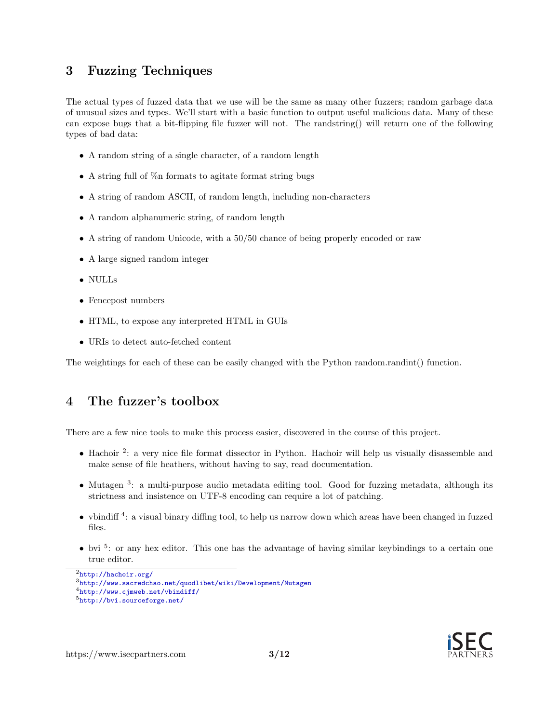## 3 Fuzzing Techniques

The actual types of fuzzed data that we use will be the same as many other fuzzers; random garbage data of unusual sizes and types. We'll start with a basic function to output useful malicious data. Many of these can expose bugs that a bit-flipping file fuzzer will not. The randstring() will return one of the following types of bad data:

- A random string of a single character, of a random length
- A string full of  $\%$ n formats to agitate format string bugs
- A string of random ASCII, of random length, including non-characters
- A random alphanumeric string, of random length
- A string of random Unicode, with a 50/50 chance of being properly encoded or raw
- A large signed random integer
- NULLs
- Fencepost numbers
- HTML, to expose any interpreted HTML in GUIs
- URIs to detect auto-fetched content

The weightings for each of these can be easily changed with the Python random.randint() function.

## 4 The fuzzer's toolbox

There are a few nice tools to make this process easier, discovered in the course of this project.

- Hachoir <sup>[2](#page-2-0)</sup>: a very nice file format dissector in Python. Hachoir will help us visually disassemble and make sense of file heathers, without having to say, read documentation.
- Mutagen<sup>[3](#page-2-1)</sup>: a multi-purpose audio metadata editing tool. Good for fuzzing metadata, although its strictness and insistence on UTF-8 encoding can require a lot of patching.
- $\bullet$  vbindiff<sup>[4](#page-2-2)</sup>: a visual binary diffing tool, to help us narrow down which areas have been changed in fuzzed files.
- $\bullet$  bvi  $^5$  $^5$ : or any hex editor. This one has the advantage of having similar keybindings to a certain one true editor.



<span id="page-2-3"></span><span id="page-2-2"></span><span id="page-2-1"></span><span id="page-2-0"></span><sup>2</sup><http://hachoir.org/>  $3$ <http://www.sacredchao.net/quodlibet/wiki/Development/Mutagen> <sup>4</sup><http://www.cjmweb.net/vbindiff/> <sup>5</sup><http://bvi.sourceforge.net/>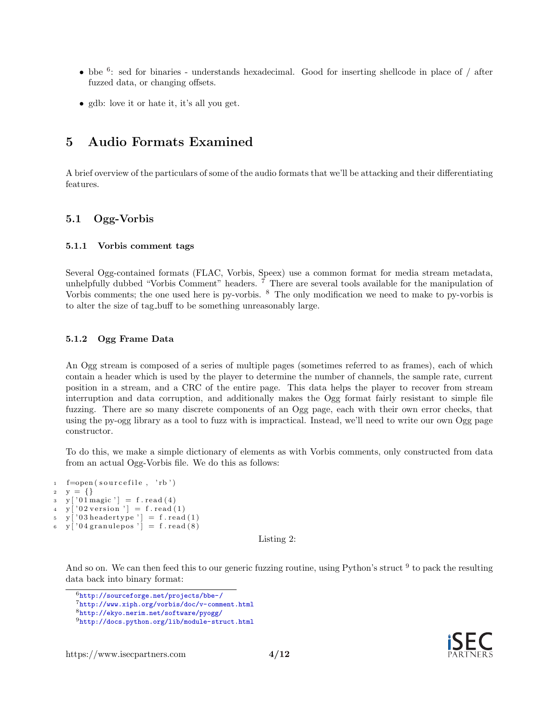- bbe  $6$ : sed for binaries understands hexadecimal. Good for inserting shellcode in place of  $/$  after fuzzed data, or changing offsets.
- gdb: love it or hate it, it's all you get.

# 5 Audio Formats Examined

A brief overview of the particulars of some of the audio formats that we'll be attacking and their differentiating features.

### 5.1 Ogg-Vorbis

#### 5.1.1 Vorbis comment tags

Several Ogg-contained formats (FLAC, Vorbis, Speex) use a common format for media stream metadata, unhelpfully dubbed "Vorbis Comment" headers. <sup>[7](#page-3-1)</sup> There are several tools available for the manipulation of Vorbis comments; the one used here is py-vorbis. <sup>[8](#page-3-2)</sup> The only modification we need to make to py-vorbis is to alter the size of tag buff to be something unreasonably large.

#### 5.1.2 Ogg Frame Data

An Ogg stream is composed of a series of multiple pages (sometimes referred to as frames), each of which contain a header which is used by the player to determine the number of channels, the sample rate, current position in a stream, and a CRC of the entire page. This data helps the player to recover from stream interruption and data corruption, and additionally makes the Ogg format fairly resistant to simple file fuzzing. There are so many discrete components of an Ogg page, each with their own error checks, that using the py-ogg library as a tool to fuzz with is impractical. Instead, we'll need to write our own Ogg page constructor.

To do this, we make a simple dictionary of elements as with Vorbis comments, only constructed from data from an actual Ogg-Vorbis file. We do this as follows:

```
1 f=open (sourcefile, 'rb')
2 y = \{\}\y [ '01 magic' ] = f.read (4)\mathbf{y} \mid \mathbf{0} \mathbf{2} version \mathbf{y} \mid \mathbf{0} \mathbf{1}\sigma y ['03 headertype'] = f.read(1)
\sigma y | '04 granulepos' = f. read (8)
```
Listing 2:

And so on. We can then feed this to our generic fuzzing routine, using Python's struct <sup>[9](#page-3-3)</sup> to pack the resulting data back into binary format:



<span id="page-3-0"></span><sup>6</sup><http://sourceforge.net/projects/bbe-/>

<span id="page-3-1"></span><sup>7</sup><http://www.xiph.org/vorbis/doc/v-comment.html>

<span id="page-3-2"></span><sup>8</sup><http://ekyo.nerim.net/software/pyogg/>

<span id="page-3-3"></span><sup>9</sup><http://docs.python.org/lib/module-struct.html>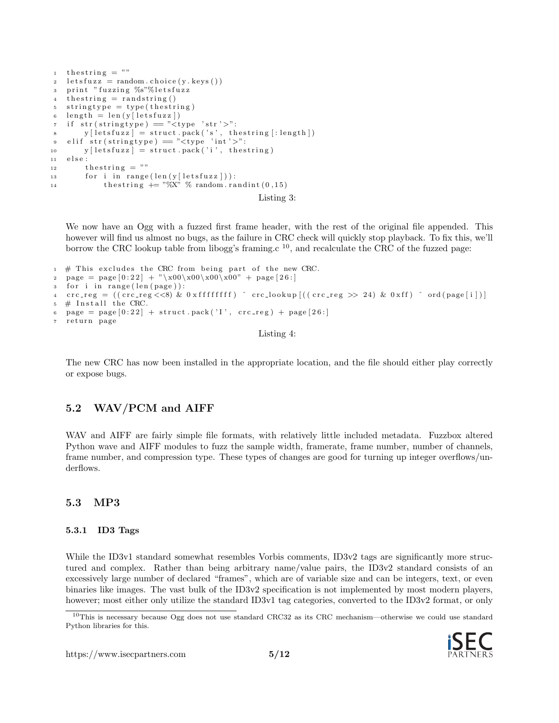```
1 the string = ""
2 letsfuzz = random.choice(y. keys())3 print "fuzzing %s"%letsfuzz
  the string = randstring()s stringtype = type (the string)
6 length = len(y[letsfuzz])
\tau if str (stringtype) = "<type 'str'>":
 \mathbf{y} \in \mathbb{R}^n y [letsfuzz] = struct.pack('s', thestring [:length])
 9 elif str(stringtype) == "<type 'int'>":
10 y [letsfuzz] = struct.pack('i', the string)
11 else:
12 thestring = ""
13 for i in range (\text{len}(y[\text{letsfuzz}])):
14 th estring + = \sqrt[10]{X}, \% random . r andint (0, 15)Listing 3:
```
We now have an Ogg with a fuzzed first frame header, with the rest of the original file appended. This however will find us almost no bugs, as the failure in CRC check will quickly stop playback. To fix this, we'll borrow the CRC lookup table from libogg's framing.c  $^{10}$  $^{10}$  $^{10}$ , and recalculate the CRC of the fuzzed page:

```
1 \# This excludes the CRC from being part of the new CRC.
2 page = page [0:22] + "\x00\x00\x00\x00" + page [26:]
   for i in range (len ( page)):
4 crc_reg = ((\text{crc-reg} \ll 8) \& 0 \times \text{ffffffff}) ^ crc_lookup [((\text{crc-reg} \gg 24) \& 0 \times \text{ff}) ^ ord (\text{page}[i])]5 \# Install the CRC.
6 page = page [0:22] + struct.pack ('I', crc_reg) + page [26:]return page
```
Listing 4:

The new CRC has now been installed in the appropriate location, and the file should either play correctly or expose bugs.

## 5.2 WAV/PCM and AIFF

WAV and AIFF are fairly simple file formats, with relatively little included metadata. Fuzzbox altered Python wave and AIFF modules to fuzz the sample width, framerate, frame number, number of channels, frame number, and compression type. These types of changes are good for turning up integer overflows/underflows.

### 5.3 MP3

#### 5.3.1 ID3 Tags

While the ID3v1 standard somewhat resembles Vorbis comments, ID3v2 tags are significantly more structured and complex. Rather than being arbitrary name/value pairs, the ID3v2 standard consists of an excessively large number of declared "frames", which are of variable size and can be integers, text, or even binaries like images. The vast bulk of the ID3v2 specification is not implemented by most modern players, however; most either only utilize the standard ID3v1 tag categories, converted to the ID3v2 format, or only

<span id="page-4-0"></span><sup>10</sup>This is necessary because Ogg does not use standard CRC32 as its CRC mechanism—otherwise we could use standard Python libraries for this.

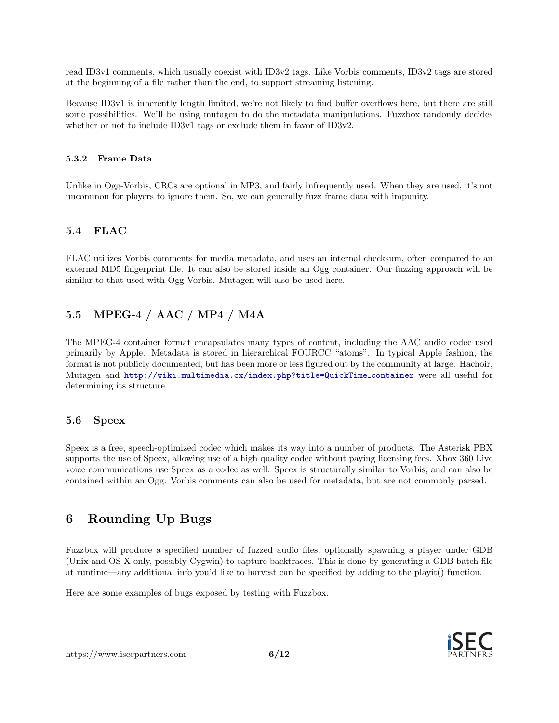read ID3v1 comments, which usually coexist with ID3v2 tags. Like Vorbis comments, ID3v2 tags are stored at the beginning of a file rather than the end, to support streaming listening.

Because ID3v1 is inherently length limited, we're not likely to find buffer overflows here, but there are still some possibilities. We'll be using mutagen to do the metadata manipulations. Fuzzbox randomly decides whether or not to include ID3v1 tags or exclude them in favor of ID3v2.

#### 5.3.2 Frame Data

Unlike in Ogg-Vorbis, CRCs are optional in MP3, and fairly infrequently used. When they are used, it's not uncommon for players to ignore them. So, we can generally fuzz frame data with impunity.

## 5.4 FLAC

FLAC utilizes Vorbis comments for media metadata, and uses an internal checksum, often compared to an external MD5 fingerprint file. It can also be stored inside an Ogg container. Our fuzzing approach will be similar to that used with Ogg Vorbis. Mutagen will also be used here.

## 5.5 MPEG-4 / AAC / MP4 / M4A

The MPEG-4 container format encapsulates many types of content, including the AAC audio codec used primarily by Apple. Metadata is stored in hierarchical FOURCC "atoms". In typical Apple fashion, the format is not publicly documented, but has been more or less figured out by the community at large. Hachoir, Mutagen and [http://wiki.multimedia.cx/index.php?title=QuickTime](http://wiki.multimedia.cx/index.php?title=QuickTime_container) container were all useful for determining its structure.

## 5.6 Speex

Speex is a free, speech-optimized codec which makes its way into a number of products. The Asterisk PBX supports the use of Speex, allowing use of a high quality codec without paying licensing fees. Xbox 360 Live voice communications use Speex as a codec as well. Speex is structurally similar to Vorbis, and can also be contained within an Ogg. Vorbis comments can also be used for metadata, but are not commonly parsed.

# 6 Rounding Up Bugs

Fuzzbox will produce a specified number of fuzzed audio files, optionally spawning a player under GDB (Unix and OS X only, possibly Cygwin) to capture backtraces. This is done by generating a GDB batch file at runtime—any additional info you'd like to harvest can be specified by adding to the playit() function.

Here are some examples of bugs exposed by testing with Fuzzbox.

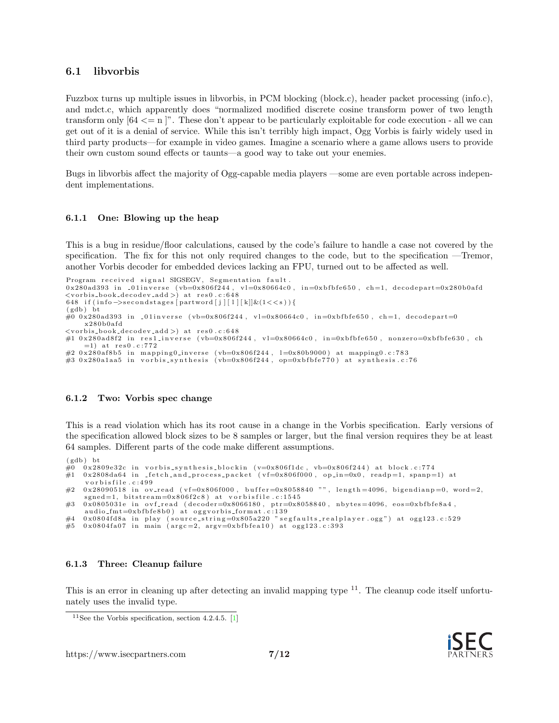#### <span id="page-6-1"></span>6.1 libvorbis

Fuzzbox turns up multiple issues in libvorbis, in PCM blocking (block.c), header packet processing (info.c), and mdct.c, which apparently does "normalized modified discrete cosine transform power of two length transform only  $[64 \leq n]^n$ . These don't appear to be particularly exploitable for code execution - all we can get out of it is a denial of service. While this isn't terribly high impact, Ogg Vorbis is fairly widely used in third party products—for example in video games. Imagine a scenario where a game allows users to provide their own custom sound effects or taunts—a good way to take out your enemies.

Bugs in libvorbis affect the majority of Ogg-capable media players —some are even portable across independent implementations.

#### 6.1.1 One: Blowing up the heap

This is a bug in residue/floor calculations, caused by the code's failure to handle a case not covered by the specification. The fix for this not only required changes to the code, but to the specification —Tremor, another Vorbis decoder for embedded devices lacking an FPU, turned out to be affected as well.

```
Program received signal SIGSEGV, Segmentation fault.
0 \times 280ad393 in -01 inverse (vb=0 \times 8066244, v = 0 \times 80664c0, in=0xbfbfe650, ch=1, decodepart=0x280b0afd
\langle \text{vorbis-book-decodev.add>} \rangle at res0.c:648
648 if (info \rightarrowsecondstages [partword [j][1][k]]&(1<<s)){
(gdb) bt
#0 0x280ad393 in _01inverse (vb=0x806f244, vl=0x80664c0, in=0xbfbfe650, ch=1, decodepart=0
     x280b0afd\langle \text{vorbis-book-decodev.add>} \rangle at res0.c:648
\#1 0x280ad8f2 in res1_inverse (vb=0x806f244, vl=0x80664c0, in=0xbfbfe650, nonzero=0xbfbfe630, ch
     =1) at res0.c:772#2 0x280af8b5 in mapping0_inverse (vb=0x806f244, l=0x80b9000) at mapping0.c:783<br>#3 0x280a1aa5 in vorbis_synthesis (vb=0x806f244, op=0xbfbfe770) at synthesis.c:76
```
#### 6.1.2 Two: Vorbis spec change

This is a read violation which has its root cause in a change in the Vorbis specification. Early versions of the specification allowed block sizes to be 8 samples or larger, but the final version requires they be at least 64 samples. Different parts of the code make different assumptions.

```
(gdb) bt
\frac{10}{60} 0x2809e32c in vorbis_synthesis_blockin (v=0x806f1dc, vb=0x806f244) at block.c:774
\#1 0x2808da64 in fetch and process packet (vf=0x806f000, op in=0x0, readp=1, spanp=1) at
     vorbisfile.c:499
#2 0x28090518 in ov_read (v f = 0x806 f000, buffer=0x8058840 "", length=4096, bigendianp=0, word=2,
    sgn ed = 1, bitstream=0x806f2c8) at vorbisfile.c:1545
\#3 0x0805031e in ovf_read (decoder=0x8066180, ptr=0x8058840, nbytes=4096, eos=0xbfbfe8a4,
    audio\_fmt = 0xbfbfe8b0) at oggvorbis_format.c:139
#4  0x0804fd8a in play (source_string=0x805a220 "segfaults_realplayer.ogg") at ogg123.c:529<br>#5  0x0804fa07 in main (argc=2, argv=0xbfbfea10) at ogg123.c:393
```
#### 6.1.3 Three: Cleanup failure

This is an error in cleaning up after detecting an invalid mapping type  $^{11}$  $^{11}$  $^{11}$ . The cleanup code itself unfortunately uses the invalid type.



<span id="page-6-0"></span><sup>&</sup>lt;sup>11</sup>See the Vorbis specification, section 4.2.4.5.  $[1]$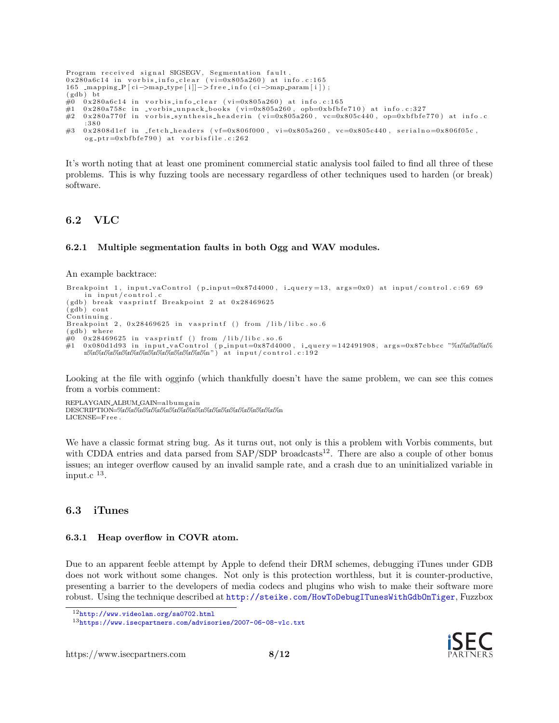```
Program received signal SIGSEGV, Segmentation fault.
0 \times 280a6c14 in vorbis_info_clear (vi=0x805a260) at info.c:165
165 _mapping_P [ci->map_type [i]]->free_info (ci->map_param [i]);
(gdb) bt
\#0 0x280a6c14 in vorbis_info_clear (vi=0x805a260) at info.c:165
\frac{\mu}{\mu} 0x280a758c in _vorbis_unpack_books (vi=0x805a260, opb=0xbfbfe710) at info.c:327
\frac{1}{2} 0x280a770f in vorbis_synthesis_headerin (vi=0x805a260, vc=0x805c440, op=0xbfbfe770) at info.c
    : 3 8 0
\#3 0x2808d1ef in fetch-headers (vf=0x806f000, vi=0x805a260, vc=0x805c440, serialno=0x806f05c,
    og_p tr = 0xbfbf{} + 790 at vorbisfile.c:262
```
It's worth noting that at least one prominent commercial static analysis tool failed to find all three of these problems. This is why fuzzing tools are necessary regardless of other techniques used to harden (or break) software.

### 6.2 VLC

#### 6.2.1 Multiple segmentation faults in both Ogg and WAV modules.

An example backtrace:

```
Breakpoint 1, input_vaControl (p_input=0x87d4000, i_query=13, args=0x0) at input/control.c:69 69
in input/control.c<br>(gdb) break vasprintf Breakpoint 2 at 0x28469625)
(gdb) cont
Continuing
Breakpoint 2, 0 \times 28469625 in vasprintf () from /lib/libc.so.6
(gdb) where
#0 0x28469625 in vasprintf () from /lib/libc.so.6<br>#1 0x080d1d93 in input_vaControl (p_input=0x87d4000, i_query=142491908, args=0x87cbbcc "%n%n%n%n%
     n%n%n%n%n%n%n%n%n%n%n%n%n%n%n " ) a t inpu t / c o n t r o l . c : 1 9 2
```
Looking at the file with ogginfo (which thankfully doesn't have the same problem, we can see this comes from a vorbis comment:

REPLAYGAIN ALBUM GAIN=a lbumga in DESCRIPTION=%n%n%n%n%n%n%n%n%n%n%n%n%n%n%n%n%n%n%n LICENSE=Free.

We have a classic format string bug. As it turns out, not only is this a problem with Vorbis comments, but with CDDA entries and data parsed from  $SAP/SDP$  broadcasts<sup>[12](#page-7-0)</sup>. There are also a couple of other bonus issues; an integer overflow caused by an invalid sample rate, and a crash due to an uninitialized variable in  $_{\rm input.c}$   $_{\rm ^{13}.}$  $_{\rm ^{13}.}$  $_{\rm ^{13}.}$ 

#### 6.3 iTunes

#### 6.3.1 Heap overflow in COVR atom.

Due to an apparent feeble attempt by Apple to defend their DRM schemes, debugging iTunes under GDB does not work without some changes. Not only is this protection worthless, but it is counter-productive, presenting a barrier to the developers of media codecs and plugins who wish to make their software more robust. Using the technique described at <http://steike.com/HowToDebugITunesWithGdbOnTiger>, Fuzzbox



<span id="page-7-0"></span><sup>12</sup><http://www.videolan.org/sa0702.html>

<span id="page-7-1"></span><sup>13</sup><https://www.isecpartners.com/advisories/2007-06-08-vlc.txt>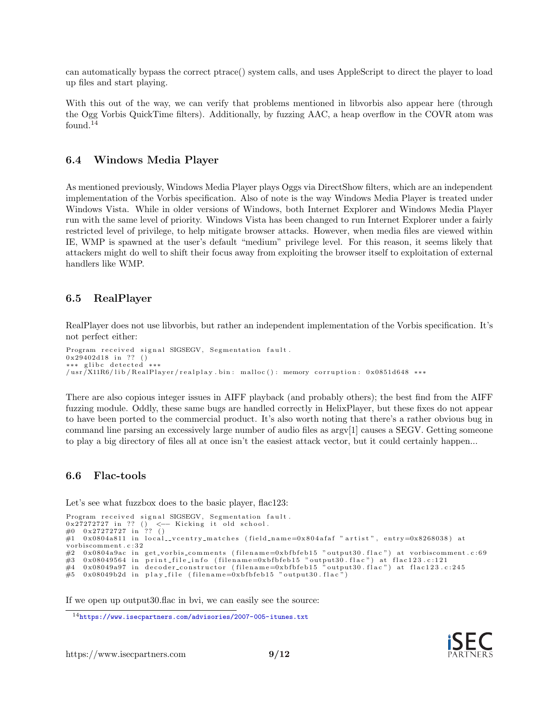can automatically bypass the correct ptrace() system calls, and uses AppleScript to direct the player to load up files and start playing.

With this out of the way, we can verify that problems mentioned in libvorbis also appear here (through the Ogg Vorbis QuickTime filters). Additionally, by fuzzing AAC, a heap overflow in the COVR atom was found.<sup>[14](#page-8-0)</sup>

#### 6.4 Windows Media Player

As mentioned previously, Windows Media Player plays Oggs via DirectShow filters, which are an independent implementation of the Vorbis specification. Also of note is the way Windows Media Player is treated under Windows Vista. While in older versions of Windows, both Internet Explorer and Windows Media Player run with the same level of priority. Windows Vista has been changed to run Internet Explorer under a fairly restricted level of privilege, to help mitigate browser attacks. However, when media files are viewed within IE, WMP is spawned at the user's default "medium" privilege level. For this reason, it seems likely that attackers might do well to shift their focus away from exploiting the browser itself to exploitation of external handlers like WMP.

#### 6.5 RealPlayer

RealPlayer does not use libvorbis, but rather an independent implementation of the Vorbis specification. It's not perfect either:

```
Program received signal SIGSEGV, Segmentation fault.
0 \times 29402d18 in ?? ()
∗∗∗ g l i b c d e t e c t e d ∗∗∗
/usr/X11R6/lib/RealPlayer/realplay.bin: malloc(): memory corruption: 0x0851d648 ***
```
There are also copious integer issues in AIFF playback (and probably others); the best find from the AIFF fuzzing module. Oddly, these same bugs are handled correctly in HelixPlayer, but these fixes do not appear to have been ported to the commercial product. It's also worth noting that there's a rather obvious bug in command line parsing an excessively large number of audio files as argv[1] causes a SEGV. Getting someone to play a big directory of files all at once isn't the easiest attack vector, but it could certainly happen...

#### 6.6 Flac-tools

Let's see what fuzzbox does to the basic player, flac123:

```
Program received signal SIGSEGV, Segmentation fault.
0x27272727 in ?? () <— Kicking it old school.<br>#0 0x27272727 in ?? ()<br>#1 0x0804a811 in local_vcentry_matches (field_name=0x804afaf "artist", entry=0x8268038) at
vorb iscomment . c : 3 2
#2 0x0804a9ac in get_vorbis_comments (filename=0xbfbfeb15 "output30.flac") at vorbiscomment.c:69<br>#3 0x08049564 in print_file_info (filename=0xbfbfeb15 "output30.flac") at flac123.c:121
#3 0x08049564 in print_file_info (filename=0xbfbfeb15 "output30.flac") at flac123.c:121<br>#4 0x08049a97 in decoder_constructor (filename=0xbfbfeb15 "output30.flac") at flac123.c:245
#5 0x08049b2d in play_file (filename=0xbfbfeb15 "output30.flac")
```
If we open up output30.flac in bvi, we can easily see the source:



<span id="page-8-0"></span><sup>14</sup><https://www.isecpartners.com/advisories/2007-005-itunes.txt>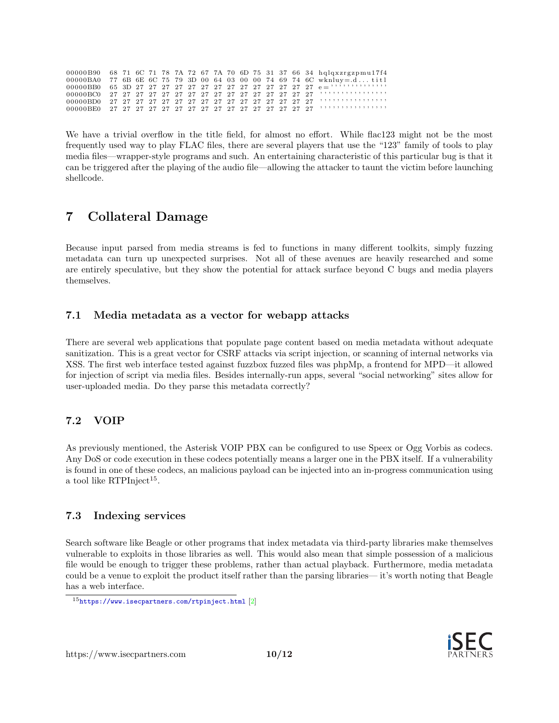<span id="page-9-1"></span>

|  |  |  |  |  |  |  |  | 00000B90 68 71 6C 71 78 7A 72 67 7A 70 6D 75 31 37 66 34 hqlqxzrgzpmu17f4 |
|--|--|--|--|--|--|--|--|---------------------------------------------------------------------------|
|  |  |  |  |  |  |  |  | 00000BA0 77 6B 6E 6C 75 79 3D 00 64 03 00 00 74 69 74 6C wknluy= $d$ titl |
|  |  |  |  |  |  |  |  |                                                                           |
|  |  |  |  |  |  |  |  |                                                                           |
|  |  |  |  |  |  |  |  |                                                                           |
|  |  |  |  |  |  |  |  |                                                                           |

We have a trivial overflow in the title field, for almost no effort. While flac123 might not be the most frequently used way to play FLAC files, there are several players that use the "123" family of tools to play media files—wrapper-style programs and such. An entertaining characteristic of this particular bug is that it can be triggered after the playing of the audio file—allowing the attacker to taunt the victim before launching shellcode.

# 7 Collateral Damage

Because input parsed from media streams is fed to functions in many different toolkits, simply fuzzing metadata can turn up unexpected surprises. Not all of these avenues are heavily researched and some are entirely speculative, but they show the potential for attack surface beyond C bugs and media players themselves.

## 7.1 Media metadata as a vector for webapp attacks

There are several web applications that populate page content based on media metadata without adequate sanitization. This is a great vector for CSRF attacks via script injection, or scanning of internal networks via XSS. The first web interface tested against fuzzbox fuzzed files was phpMp, a frontend for MPD—it allowed for injection of script via media files. Besides internally-run apps, several "social networking" sites allow for user-uploaded media. Do they parse this metadata correctly?

## 7.2 VOIP

As previously mentioned, the Asterisk VOIP PBX can be configured to use Speex or Ogg Vorbis as codecs. Any DoS or code execution in these codecs potentially means a larger one in the PBX itself. If a vulnerability is found in one of these codecs, an malicious payload can be injected into an in-progress communication using a tool like RTPInject<sup>[15](#page-9-0)</sup>.

## 7.3 Indexing services

Search software like Beagle or other programs that index metadata via third-party libraries make themselves vulnerable to exploits in those libraries as well. This would also mean that simple possession of a malicious file would be enough to trigger these problems, rather than actual playback. Furthermore, media metadata could be a venue to exploit the product itself rather than the parsing libraries— it's worth noting that Beagle has a web interface.



<span id="page-9-0"></span><sup>15</sup><https://www.isecpartners.com/rtpinject.html> [\[2\]](#page-11-2)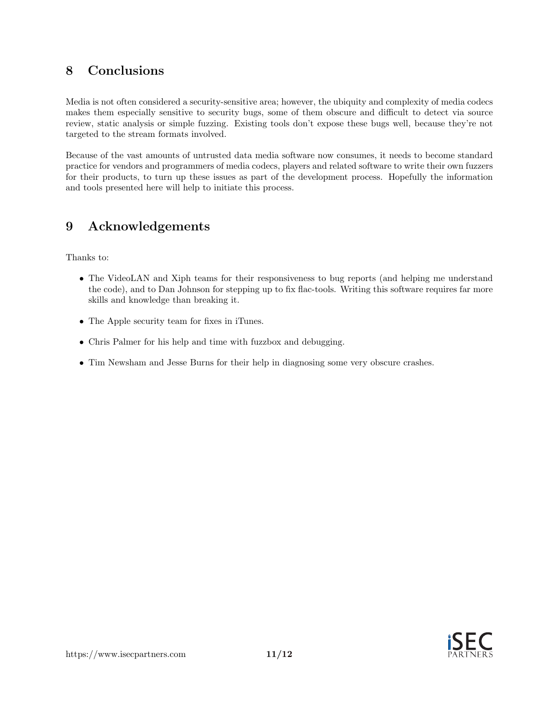# 8 Conclusions

Media is not often considered a security-sensitive area; however, the ubiquity and complexity of media codecs makes them especially sensitive to security bugs, some of them obscure and difficult to detect via source review, static analysis or simple fuzzing. Existing tools don't expose these bugs well, because they're not targeted to the stream formats involved.

Because of the vast amounts of untrusted data media software now consumes, it needs to become standard practice for vendors and programmers of media codecs, players and related software to write their own fuzzers for their products, to turn up these issues as part of the development process. Hopefully the information and tools presented here will help to initiate this process.

# 9 Acknowledgements

Thanks to:

- The VideoLAN and Xiph teams for their responsiveness to bug reports (and helping me understand the code), and to Dan Johnson for stepping up to fix flac-tools. Writing this software requires far more skills and knowledge than breaking it.
- The Apple security team for fixes in iTunes.
- Chris Palmer for his help and time with fuzzbox and debugging.
- Tim Newsham and Jesse Burns for their help in diagnosing some very obscure crashes.